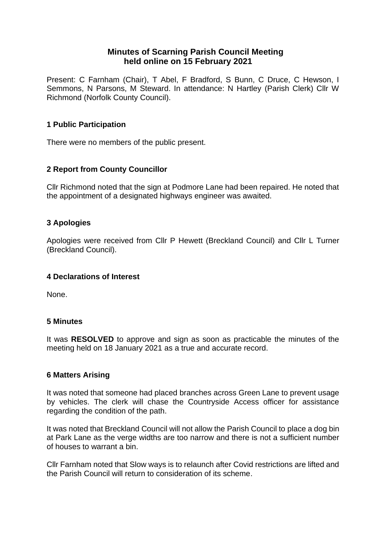# **Minutes of Scarning Parish Council Meeting held online on 15 February 2021**

Present: C Farnham (Chair), T Abel, F Bradford, S Bunn, C Druce, C Hewson, I Semmons, N Parsons, M Steward. In attendance: N Hartley (Parish Clerk) Cllr W Richmond (Norfolk County Council).

## **1 Public Participation**

There were no members of the public present.

# **2 Report from County Councillor**

Cllr Richmond noted that the sign at Podmore Lane had been repaired. He noted that the appointment of a designated highways engineer was awaited.

## **3 Apologies**

Apologies were received from Cllr P Hewett (Breckland Council) and Cllr L Turner (Breckland Council).

## **4 Declarations of Interest**

None.

## **5 Minutes**

It was **RESOLVED** to approve and sign as soon as practicable the minutes of the meeting held on 18 January 2021 as a true and accurate record.

## **6 Matters Arising**

It was noted that someone had placed branches across Green Lane to prevent usage by vehicles. The clerk will chase the Countryside Access officer for assistance regarding the condition of the path.

It was noted that Breckland Council will not allow the Parish Council to place a dog bin at Park Lane as the verge widths are too narrow and there is not a sufficient number of houses to warrant a bin.

Cllr Farnham noted that Slow ways is to relaunch after Covid restrictions are lifted and the Parish Council will return to consideration of its scheme.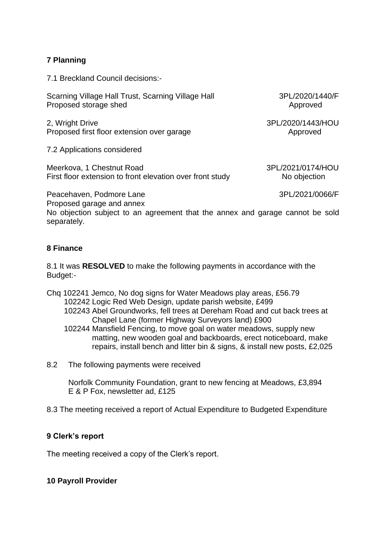# **7 Planning**

7.1 Breckland Council decisions:-

Scarning Village Hall Trust, Scarning Village Hall 3PL/2020/1440/F Proposed storage shed Approved Approved

2, Wright Drive 3PL/2020/1443/HOU Proposed first floor extension over garage Approved

7.2 Applications considered

Meerkova, 1 Chestnut Road 3PL/2021/0174/HOU First floor extension to front elevation over front study No objection

Peacehaven, Podmore Lane 3PL/2021/0066/F Proposed garage and annex

No objection subject to an agreement that the annex and garage cannot be sold separately.

## **8 Finance**

8.1 It was **RESOLVED** to make the following payments in accordance with the Budget:-

Chq 102241 Jemco, No dog signs for Water Meadows play areas, £56.79 102242 Logic Red Web Design, update parish website, £499

- 102243 Abel Groundworks, fell trees at Dereham Road and cut back trees at Chapel Lane (former Highway Surveyors land) £900
- 102244 Mansfield Fencing, to move goal on water meadows, supply new matting, new wooden goal and backboards, erect noticeboard, make repairs, install bench and litter bin & signs, & install new posts, £2,025
- 8.2 The following payments were received

 Norfolk Community Foundation, grant to new fencing at Meadows, £3,894 E & P Fox, newsletter ad, £125

8.3 The meeting received a report of Actual Expenditure to Budgeted Expenditure

## **9 Clerk's report**

The meeting received a copy of the Clerk's report.

## **10 Payroll Provider**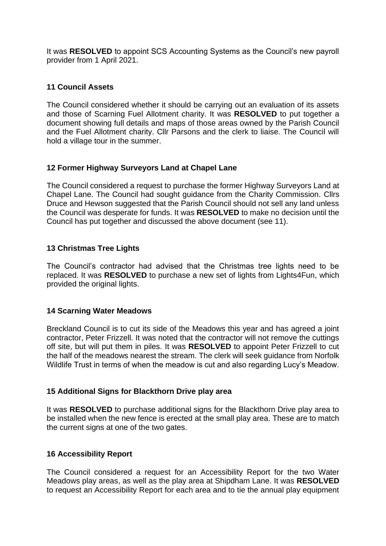It was **RESOLVED** to appoint SCS Accounting Systems as the Council's new payroll provider from 1 April 2021.

## **11 Council Assets**

The Council considered whether it should be carrying out an evaluation of its assets and those of Scarning Fuel Allotment charity. It was **RESOLVED** to put together a document showing full details and maps of those areas owned by the Parish Council and the Fuel Allotment charity. Cllr Parsons and the clerk to liaise. The Council will hold a village tour in the summer.

## **12 Former Highway Surveyors Land at Chapel Lane**

The Council considered a request to purchase the former Highway Surveyors Land at Chapel Lane. The Council had sought guidance from the Charity Commission. Cllrs Druce and Hewson suggested that the Parish Council should not sell any land unless the Council was desperate for funds. It was **RESOLVED** to make no decision until the Council has put together and discussed the above document (see 11).

## **13 Christmas Tree Lights**

The Council's contractor had advised that the Christmas tree lights need to be replaced. It was **RESOLVED** to purchase a new set of lights from Lights4Fun, which provided the original lights.

## **14 Scarning Water Meadows**

Breckland Council is to cut its side of the Meadows this year and has agreed a joint contractor, Peter Frizzell. It was noted that the contractor will not remove the cuttings off site, but will put them in piles. It was **RESOLVED** to appoint Peter Frizzell to cut the half of the meadows nearest the stream. The clerk will seek guidance from Norfolk Wildlife Trust in terms of when the meadow is cut and also regarding Lucy's Meadow.

## **15 Additional Signs for Blackthorn Drive play area**

It was **RESOLVED** to purchase additional signs for the Blackthorn Drive play area to be installed when the new fence is erected at the small play area. These are to match the current signs at one of the two gates.

## **16 Accessibility Report**

The Council considered a request for an Accessibility Report for the two Water Meadows play areas, as well as the play area at Shipdham Lane. It was **RESOLVED** to request an Accessibility Report for each area and to tie the annual play equipment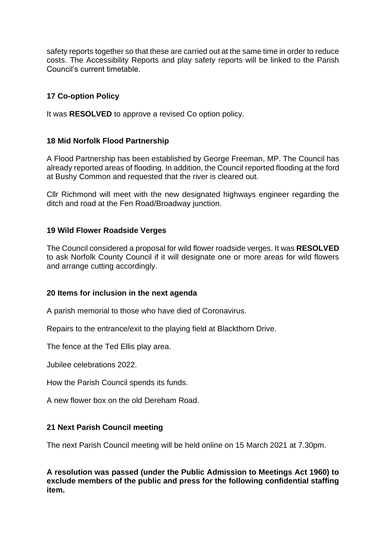safety reports together so that these are carried out at the same time in order to reduce costs. The Accessibility Reports and play safety reports will be linked to the Parish Council's current timetable.

# **17 Co-option Policy**

It was **RESOLVED** to approve a revised Co option policy.

## **18 Mid Norfolk Flood Partnership**

A Flood Partnership has been established by George Freeman, MP. The Council has already reported areas of flooding. In addition, the Council reported flooding at the ford at Bushy Common and requested that the river is cleared out.

Cllr Richmond will meet with the new designated highways engineer regarding the ditch and road at the Fen Road/Broadway junction.

## **19 Wild Flower Roadside Verges**

The Council considered a proposal for wild flower roadside verges. It was **RESOLVED** to ask Norfolk County Council if it will designate one or more areas for wild flowers and arrange cutting accordingly.

## **20 Items for inclusion in the next agenda**

A parish memorial to those who have died of Coronavirus.

Repairs to the entrance/exit to the playing field at Blackthorn Drive.

The fence at the Ted Ellis play area.

Jubilee celebrations 2022.

How the Parish Council spends its funds.

A new flower box on the old Dereham Road.

## **21 Next Parish Council meeting**

The next Parish Council meeting will be held online on 15 March 2021 at 7.30pm.

**A resolution was passed (under the Public Admission to Meetings Act 1960) to exclude members of the public and press for the following confidential staffing item.**